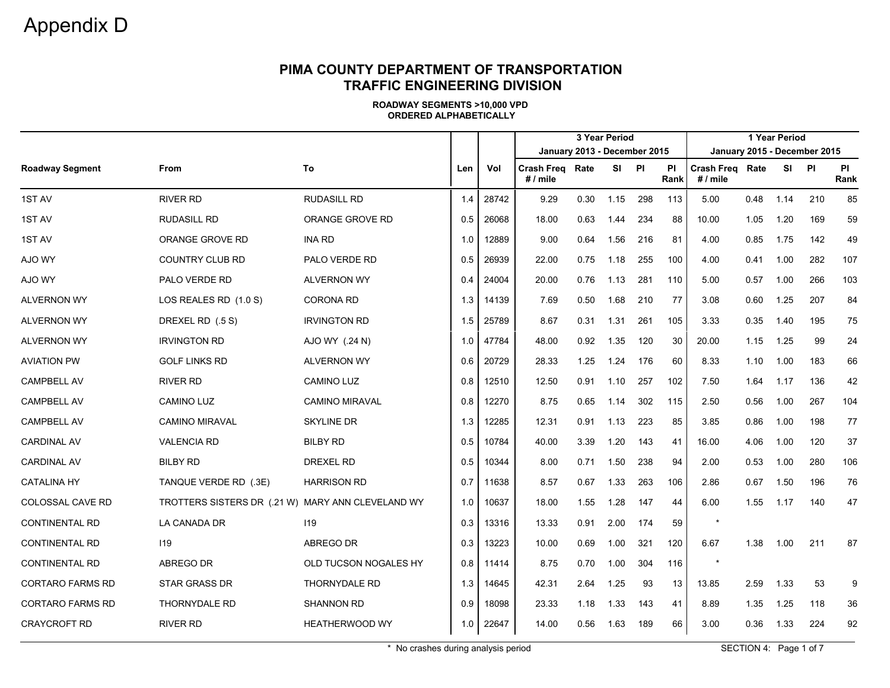#### **PIMA COUNTY DEPARTMENT OF TRANSPORTATION TRAFFIC ENGINEERING DIVISION**

**ROADWAY SEGMENTS >10,000 VPD ORDERED ALPHABETICALLY**

|                         |                                                   |                       |     |       |                                      |      | 3 Year Period |     |                   | 1 Year Period                 |      |      |                              |                   |  |
|-------------------------|---------------------------------------------------|-----------------------|-----|-------|--------------------------------------|------|---------------|-----|-------------------|-------------------------------|------|------|------------------------------|-------------------|--|
|                         |                                                   |                       |     |       | January 2013 - December 2015         |      |               |     |                   |                               |      |      | January 2015 - December 2015 |                   |  |
| <b>Roadway Segment</b>  | <b>From</b>                                       | To                    | Len | Vol   | <b>Crash Freg Rate</b><br>$# /$ mile |      | SI PI         |     | <b>PI</b><br>Rank | Crash Freq Rate<br>$# /$ mile |      | SI   | <b>PI</b>                    | <b>PI</b><br>Rank |  |
| 1ST AV                  | <b>RIVER RD</b>                                   | <b>RUDASILL RD</b>    | 1.4 | 28742 | 9.29                                 | 0.30 | 1.15          | 298 | 113               | 5.00                          | 0.48 | 1.14 | 210                          | 85                |  |
| 1ST AV                  | <b>RUDASILL RD</b>                                | ORANGE GROVE RD       | 0.5 | 26068 | 18.00                                | 0.63 | 1.44          | 234 | 88                | 10.00                         | 1.05 | 1.20 | 169                          | 59                |  |
| 1ST AV                  | <b>ORANGE GROVE RD</b>                            | <b>INA RD</b>         | 1.0 | 12889 | 9.00                                 | 0.64 | 1.56          | 216 | 81                | 4.00                          | 0.85 | 1.75 | 142                          | 49                |  |
| AJO WY                  | <b>COUNTRY CLUB RD</b>                            | PALO VERDE RD         | 0.5 | 26939 | 22.00                                | 0.75 | 1.18          | 255 | 100               | 4.00                          | 0.41 | 1.00 | 282                          | 107               |  |
| AJO WY                  | PALO VERDE RD                                     | <b>ALVERNON WY</b>    | 0.4 | 24004 | 20.00                                | 0.76 | 1.13          | 281 | 110               | 5.00                          | 0.57 | 1.00 | 266                          | 103               |  |
| <b>ALVERNON WY</b>      | LOS REALES RD (1.0 S)                             | <b>CORONA RD</b>      | 1.3 | 14139 | 7.69                                 | 0.50 | 1.68          | 210 | 77                | 3.08                          | 0.60 | 1.25 | 207                          | 84                |  |
| <b>ALVERNON WY</b>      | DREXEL RD (.5 S)                                  | <b>IRVINGTON RD</b>   | 1.5 | 25789 | 8.67                                 | 0.31 | 1.31          | 261 | 105               | 3.33                          | 0.35 | 1.40 | 195                          | 75                |  |
| <b>ALVERNON WY</b>      | <b>IRVINGTON RD</b>                               | AJO WY (.24 N)        | 1.0 | 47784 | 48.00                                | 0.92 | 1.35          | 120 | 30                | 20.00                         | 1.15 | 1.25 | 99                           | 24                |  |
| <b>AVIATION PW</b>      | <b>GOLF LINKS RD</b>                              | <b>ALVERNON WY</b>    | 0.6 | 20729 | 28.33                                | 1.25 | 1.24          | 176 | 60                | 8.33                          | 1.10 | 1.00 | 183                          | 66                |  |
| <b>CAMPBELL AV</b>      | <b>RIVER RD</b>                                   | <b>CAMINO LUZ</b>     | 0.8 | 12510 | 12.50                                | 0.91 | 1.10          | 257 | 102               | 7.50                          | 1.64 | 1.17 | 136                          | 42                |  |
| <b>CAMPBELL AV</b>      | <b>CAMINO LUZ</b>                                 | <b>CAMINO MIRAVAL</b> | 0.8 | 12270 | 8.75                                 | 0.65 | 1.14          | 302 | 115               | 2.50                          | 0.56 | 1.00 | 267                          | 104               |  |
| <b>CAMPBELL AV</b>      | <b>CAMINO MIRAVAL</b>                             | <b>SKYLINE DR</b>     | 1.3 | 12285 | 12.31                                | 0.91 | 1.13          | 223 | 85                | 3.85                          | 0.86 | 1.00 | 198                          | 77                |  |
| <b>CARDINAL AV</b>      | <b>VALENCIA RD</b>                                | <b>BILBY RD</b>       | 0.5 | 10784 | 40.00                                | 3.39 | 1.20          | 143 | 41                | 16.00                         | 4.06 | 1.00 | 120                          | 37                |  |
| <b>CARDINAL AV</b>      | <b>BILBY RD</b>                                   | <b>DREXEL RD</b>      | 0.5 | 10344 | 8.00                                 | 0.71 | 1.50          | 238 | 94                | 2.00                          | 0.53 | 1.00 | 280                          | 106               |  |
| <b>CATALINA HY</b>      | TANQUE VERDE RD (.3E)                             | <b>HARRISON RD</b>    | 0.7 | 11638 | 8.57                                 | 0.67 | 1.33          | 263 | 106               | 2.86                          | 0.67 | 1.50 | 196                          | 76                |  |
| COLOSSAL CAVE RD        | TROTTERS SISTERS DR (.21 W) MARY ANN CLEVELAND WY |                       | 1.0 | 10637 | 18.00                                | 1.55 | 1.28          | 147 | 44                | 6.00                          | 1.55 | 1.17 | 140                          | 47                |  |
| <b>CONTINENTAL RD</b>   | LA CANADA DR                                      | 119                   | 0.3 | 13316 | 13.33                                | 0.91 | 2.00          | 174 | 59                | $\star$                       |      |      |                              |                   |  |
| <b>CONTINENTAL RD</b>   | 119                                               | ABREGO DR             | 0.3 | 13223 | 10.00                                | 0.69 | 1.00          | 321 | 120               | 6.67                          | 1.38 | 1.00 | 211                          | 87                |  |
| <b>CONTINENTAL RD</b>   | ABREGO DR                                         | OLD TUCSON NOGALES HY | 0.8 | 11414 | 8.75                                 | 0.70 | 1.00          | 304 | 116               | $\star$                       |      |      |                              |                   |  |
| <b>CORTARO FARMS RD</b> | <b>STAR GRASS DR</b>                              | <b>THORNYDALE RD</b>  | 1.3 | 14645 | 42.31                                | 2.64 | 1.25          | 93  | 13                | 13.85                         | 2.59 | 1.33 | 53                           | 9                 |  |
| <b>CORTARO FARMS RD</b> | THORNYDALE RD                                     | <b>SHANNON RD</b>     | 0.9 | 18098 | 23.33                                | 1.18 | 1.33          | 143 | 41                | 8.89                          | 1.35 | 1.25 | 118                          | 36                |  |
| <b>CRAYCROFT RD</b>     | <b>RIVER RD</b>                                   | <b>HEATHERWOOD WY</b> | 1.0 | 22647 | 14.00                                | 0.56 | 1.63          | 189 | 66                | 3.00                          | 0.36 | 1.33 | 224                          | 92                |  |

\* No crashes during analysis period  $\blacksquare$  SECTION 4: Page 1 of 7  $\blacksquare$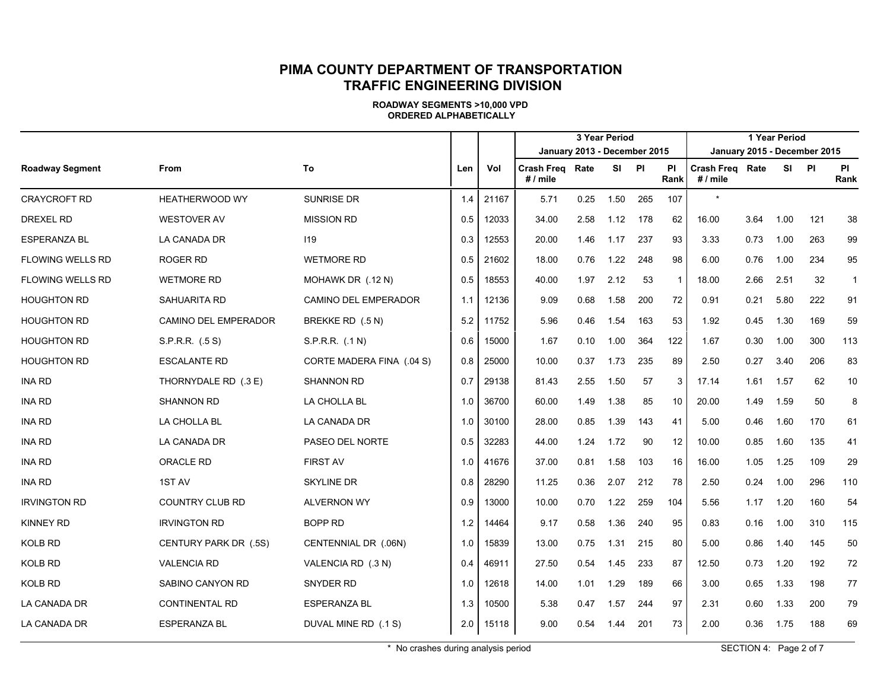#### **PIMA COUNTY DEPARTMENT OF TRANSPORTATION TRAFFIC ENGINEERING DIVISION**

|                         |                        |                           |     |       |                                           |      | 3 Year Period | 1 Year Period |                |                                    |      |      |                              |                   |  |  |  |
|-------------------------|------------------------|---------------------------|-----|-------|-------------------------------------------|------|---------------|---------------|----------------|------------------------------------|------|------|------------------------------|-------------------|--|--|--|
|                         |                        |                           |     |       | January 2013 - December 2015              |      |               |               |                |                                    |      |      | January 2015 - December 2015 |                   |  |  |  |
| <b>Roadway Segment</b>  | <b>From</b>            | To                        | Len | Vol   | <b>Crash Freg Rate</b><br># $\prime$ mile |      | <b>SI</b>     | <b>PI</b>     | PI<br>Rank     | <b>Crash Freg Rate</b><br># / mile |      |      | SI PI                        | <b>PI</b><br>Rank |  |  |  |
| <b>CRAYCROFT RD</b>     | <b>HEATHERWOOD WY</b>  | <b>SUNRISE DR</b>         | 1.4 | 21167 | 5.71                                      | 0.25 | 1.50          | 265           | 107            | $\star$                            |      |      |                              |                   |  |  |  |
| DREXEL RD               | <b>WESTOVER AV</b>     | <b>MISSION RD</b>         | 0.5 | 12033 | 34.00                                     | 2.58 | 1.12          | 178           | 62             | 16.00                              | 3.64 | 1.00 | 121                          | 38                |  |  |  |
| <b>ESPERANZA BL</b>     | LA CANADA DR           | 119                       | 0.3 | 12553 | 20.00                                     | 1.46 | 1.17          | 237           | 93             | 3.33                               | 0.73 | 1.00 | 263                          | 99                |  |  |  |
| <b>FLOWING WELLS RD</b> | <b>ROGER RD</b>        | <b>WETMORE RD</b>         | 0.5 | 21602 | 18.00                                     | 0.76 | 1.22          | 248           | 98             | 6.00                               | 0.76 | 1.00 | 234                          | 95                |  |  |  |
| <b>FLOWING WELLS RD</b> | <b>WETMORE RD</b>      | MOHAWK DR (.12 N)         | 0.5 | 18553 | 40.00                                     | 1.97 | 2.12          | 53            | $\overline{1}$ | 18.00                              | 2.66 | 2.51 | 32                           | $\mathbf{1}$      |  |  |  |
| <b>HOUGHTON RD</b>      | SAHUARITA RD           | CAMINO DEL EMPERADOR      | 1.1 | 12136 | 9.09                                      | 0.68 | 1.58          | 200           | 72             | 0.91                               | 0.21 | 5.80 | 222                          | 91                |  |  |  |
| <b>HOUGHTON RD</b>      | CAMINO DEL EMPERADOR   | BREKKE RD (.5 N)          | 5.2 | 11752 | 5.96                                      | 0.46 | 1.54          | 163           | 53             | 1.92                               | 0.45 | 1.30 | 169                          | 59                |  |  |  |
| <b>HOUGHTON RD</b>      | S.P.R.R. (.5 S)        | S.P.R.R. (.1 N)           | 0.6 | 15000 | 1.67                                      | 0.10 | 1.00          | 364           | 122            | 1.67                               | 0.30 | 1.00 | 300                          | 113               |  |  |  |
| <b>HOUGHTON RD</b>      | <b>ESCALANTE RD</b>    | CORTE MADERA FINA (.04 S) | 0.8 | 25000 | 10.00                                     | 0.37 | 1.73          | 235           | 89             | 2.50                               | 0.27 | 3.40 | 206                          | 83                |  |  |  |
| <b>INA RD</b>           | THORNYDALE RD (.3 E)   | <b>SHANNON RD</b>         | 0.7 | 29138 | 81.43                                     | 2.55 | 1.50          | 57            | 3              | 17.14                              | 1.61 | 1.57 | 62                           | 10                |  |  |  |
| <b>INA RD</b>           | <b>SHANNON RD</b>      | LA CHOLLA BL              | 1.0 | 36700 | 60.00                                     | 1.49 | 1.38          | 85            | 10             | 20.00                              | 1.49 | 1.59 | 50                           | 8                 |  |  |  |
| <b>INA RD</b>           | LA CHOLLA BL           | LA CANADA DR              | 1.0 | 30100 | 28.00                                     | 0.85 | 1.39          | 143           | 41             | 5.00                               | 0.46 | 1.60 | 170                          | 61                |  |  |  |
| <b>INA RD</b>           | LA CANADA DR           | PASEO DEL NORTE           | 0.5 | 32283 | 44.00                                     | 1.24 | 1.72          | 90            | 12             | 10.00                              | 0.85 | 1.60 | 135                          | 41                |  |  |  |
| <b>INA RD</b>           | <b>ORACLE RD</b>       | <b>FIRST AV</b>           | 1.0 | 41676 | 37.00                                     | 0.81 | 1.58          | 103           | 16             | 16.00                              | 1.05 | 1.25 | 109                          | 29                |  |  |  |
| <b>INA RD</b>           | 1ST AV                 | <b>SKYLINE DR</b>         | 0.8 | 28290 | 11.25                                     | 0.36 | 2.07          | 212           | 78             | 2.50                               | 0.24 | 1.00 | 296                          | 110               |  |  |  |
| <b>IRVINGTON RD</b>     | <b>COUNTRY CLUB RD</b> | <b>ALVERNON WY</b>        | 0.9 | 13000 | 10.00                                     | 0.70 | 1.22          | 259           | 104            | 5.56                               | 1.17 | 1.20 | 160                          | 54                |  |  |  |
| <b>KINNEY RD</b>        | <b>IRVINGTON RD</b>    | <b>BOPP RD</b>            | 1.2 | 14464 | 9.17                                      | 0.58 | 1.36          | 240           | 95             | 0.83                               | 0.16 | 1.00 | 310                          | 115               |  |  |  |
| <b>KOLB RD</b>          | CENTURY PARK DR (.5S)  | CENTENNIAL DR (.06N)      | 1.0 | 15839 | 13.00                                     | 0.75 | 1.31          | 215           | 80             | 5.00                               | 0.86 | 1.40 | 145                          | 50                |  |  |  |
| <b>KOLB RD</b>          | <b>VALENCIA RD</b>     | VALENCIA RD (.3 N)        | 0.4 | 46911 | 27.50                                     | 0.54 | 1.45          | 233           | 87             | 12.50                              | 0.73 | 1.20 | 192                          | 72                |  |  |  |
| <b>KOLB RD</b>          | SABINO CANYON RD       | SNYDER RD                 | 1.0 | 12618 | 14.00                                     | 1.01 | 1.29          | 189           | 66             | 3.00                               | 0.65 | 1.33 | 198                          | 77                |  |  |  |
| LA CANADA DR            | <b>CONTINENTAL RD</b>  | ESPERANZA BL              | 1.3 | 10500 | 5.38                                      | 0.47 | 1.57          | 244           | 97             | 2.31                               | 0.60 | 1.33 | 200                          | 79                |  |  |  |
| LA CANADA DR            | <b>ESPERANZA BL</b>    | DUVAL MINE RD (.1 S)      | 2.0 | 15118 | 9.00                                      | 0.54 | 1.44          | 201           | 73             | 2.00                               | 0.36 | 1.75 | 188                          | 69                |  |  |  |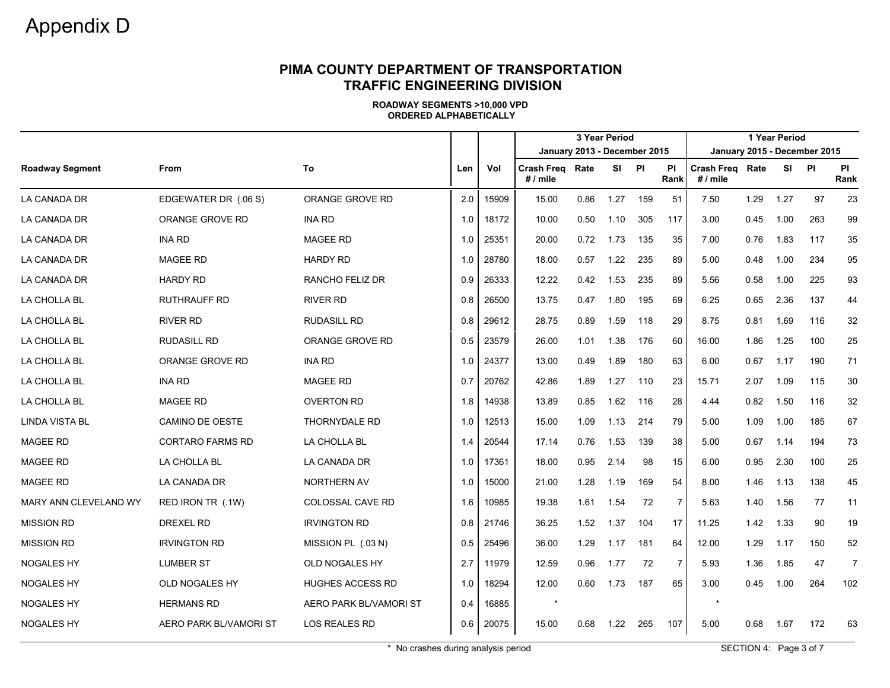#### **PIMA COUNTY DEPARTMENT OF TRANSPORTATION TRAFFIC ENGINEERING DIVISION**

**ROADWAY SEGMENTS >10,000 VPD ORDERED ALPHABETICALLY**

|                        |                         |                         |     |       |                                      |      |       |     | 1 Year Period<br>January 2015 - December 2015 |                                      |      |       |     |                   |
|------------------------|-------------------------|-------------------------|-----|-------|--------------------------------------|------|-------|-----|-----------------------------------------------|--------------------------------------|------|-------|-----|-------------------|
|                        |                         |                         |     | Vol   | January 2013 - December 2015         |      |       |     |                                               |                                      |      |       |     |                   |
| <b>Roadway Segment</b> | From                    | To                      | Len |       | <b>Crash Freg Rate</b><br>$# /$ mile |      | SI PI |     | <b>PI</b><br>Rank                             | <b>Crash Freg Rate</b><br>$# /$ mile |      | SI PI |     | <b>PI</b><br>Rank |
| <b>LA CANADA DR</b>    | EDGEWATER DR (.06 S)    | ORANGE GROVE RD         | 2.0 | 15909 | 15.00                                | 0.86 | 1.27  | 159 | 51                                            | 7.50                                 | 1.29 | 1.27  | 97  | 23                |
| LA CANADA DR           | ORANGE GROVE RD         | <b>INA RD</b>           | 1.0 | 18172 | 10.00                                | 0.50 | 1.10  | 305 | 117                                           | 3.00                                 | 0.45 | 1.00  | 263 | 99                |
| <b>LA CANADA DR</b>    | <b>INA RD</b>           | <b>MAGEE RD</b>         | 1.0 | 25351 | 20.00                                | 0.72 | 1.73  | 135 | 35                                            | 7.00                                 | 0.76 | 1.83  | 117 | 35                |
| LA CANADA DR           | <b>MAGEE RD</b>         | <b>HARDY RD</b>         | 1.0 | 28780 | 18.00                                | 0.57 | 1.22  | 235 | 89                                            | 5.00                                 | 0.48 | 1.00  | 234 | 95                |
| LA CANADA DR           | <b>HARDY RD</b>         | RANCHO FELIZ DR         | 0.9 | 26333 | 12.22                                | 0.42 | 1.53  | 235 | 89                                            | 5.56                                 | 0.58 | 1.00  | 225 | 93                |
| LA CHOLLA BL           | <b>RUTHRAUFF RD</b>     | <b>RIVER RD</b>         | 0.8 | 26500 | 13.75                                | 0.47 | 1.80  | 195 | 69                                            | 6.25                                 | 0.65 | 2.36  | 137 | 44                |
| LA CHOLLA BL           | <b>RIVER RD</b>         | <b>RUDASILL RD</b>      | 0.8 | 29612 | 28.75                                | 0.89 | 1.59  | 118 | 29                                            | 8.75                                 | 0.81 | 1.69  | 116 | 32                |
| LA CHOLLA BL           | <b>RUDASILL RD</b>      | ORANGE GROVE RD         | 0.5 | 23579 | 26.00                                | 1.01 | 1.38  | 176 | 60                                            | 16.00                                | 1.86 | 1.25  | 100 | 25                |
| LA CHOLLA BL           | ORANGE GROVE RD         | <b>INA RD</b>           | 1.0 | 24377 | 13.00                                | 0.49 | 1.89  | 180 | 63                                            | 6.00                                 | 0.67 | 1.17  | 190 | 71                |
| LA CHOLLA BL           | <b>INA RD</b>           | <b>MAGEE RD</b>         | 0.7 | 20762 | 42.86                                | 1.89 | 1.27  | 110 | 23                                            | 15.71                                | 2.07 | 1.09  | 115 | 30                |
| LA CHOLLA BL           | <b>MAGEE RD</b>         | <b>OVERTON RD</b>       | 1.8 | 14938 | 13.89                                | 0.85 | 1.62  | 116 | 28                                            | 4.44                                 | 0.82 | 1.50  | 116 | 32                |
| <b>LINDA VISTA BL</b>  | <b>CAMINO DE OESTE</b>  | THORNYDALE RD           | 1.0 | 12513 | 15.00                                | 1.09 | 1.13  | 214 | 79                                            | 5.00                                 | 1.09 | 1.00  | 185 | 67                |
| <b>MAGEE RD</b>        | <b>CORTARO FARMS RD</b> | LA CHOLLA BL            | 1.4 | 20544 | 17.14                                | 0.76 | 1.53  | 139 | 38                                            | 5.00                                 | 0.67 | 1.14  | 194 | 73                |
| <b>MAGEE RD</b>        | LA CHOLLA BL            | LA CANADA DR            | 1.0 | 17361 | 18.00                                | 0.95 | 2.14  | 98  | 15                                            | 6.00                                 | 0.95 | 2.30  | 100 | 25                |
| <b>MAGEE RD</b>        | LA CANADA DR            | NORTHERN AV             | 1.0 | 15000 | 21.00                                | 1.28 | 1.19  | 169 | 54                                            | 8.00                                 | 1.46 | 1.13  | 138 | 45                |
| MARY ANN CLEVELAND WY  | RED IRON TR (.1W)       | <b>COLOSSAL CAVE RD</b> | 1.6 | 10985 | 19.38                                | 1.61 | 1.54  | 72  | $\overline{7}$                                | 5.63                                 | 1.40 | 1.56  | 77  | 11                |
| <b>MISSION RD</b>      | <b>DREXEL RD</b>        | <b>IRVINGTON RD</b>     | 0.8 | 21746 | 36.25                                | 1.52 | 1.37  | 104 | 17                                            | 11.25                                | 1.42 | 1.33  | 90  | 19                |
| <b>MISSION RD</b>      | <b>IRVINGTON RD</b>     | MISSION PL (.03 N)      | 0.5 | 25496 | 36.00                                | 1.29 | 1.17  | 181 | 64                                            | 12.00                                | 1.29 | 1.17  | 150 | 52                |
| <b>NOGALES HY</b>      | <b>LUMBER ST</b>        | OLD NOGALES HY          | 2.7 | 11979 | 12.59                                | 0.96 | 1.77  | 72  | $\overline{7}$                                | 5.93                                 | 1.36 | 1.85  | 47  | $\overline{7}$    |
| <b>NOGALES HY</b>      | OLD NOGALES HY          | <b>HUGHES ACCESS RD</b> | 1.0 | 18294 | 12.00                                | 0.60 | 1.73  | 187 | 65                                            | 3.00                                 | 0.45 | 1.00  | 264 | 102               |
| <b>NOGALES HY</b>      | <b>HERMANS RD</b>       | AERO PARK BL/VAMORI ST  | 0.4 | 16885 | $\star$                              |      |       |     |                                               | $\star$                              |      |       |     |                   |
| <b>NOGALES HY</b>      | AERO PARK BL/VAMORI ST  | LOS REALES RD           | 0.6 | 20075 | 15.00                                | 0.68 | 1.22  | 265 | 107                                           | 5.00                                 | 0.68 | 1.67  | 172 | 63                |

\* No crashes during analysis period  $\blacksquare$  SECTION 4: Page 3 of 7  $\blacksquare$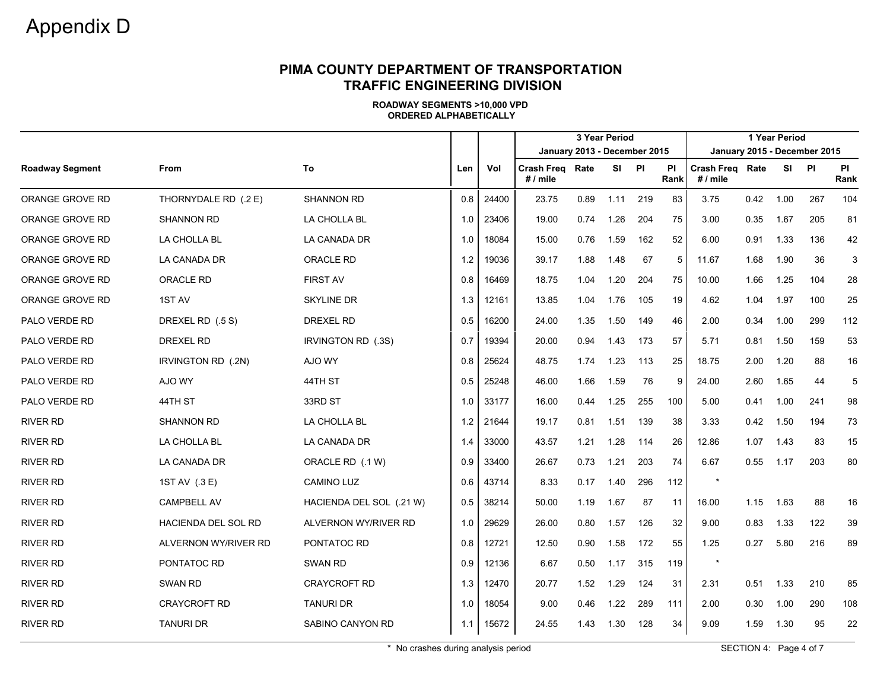#### **PIMA COUNTY DEPARTMENT OF TRANSPORTATION TRAFFIC ENGINEERING DIVISION**

**ROADWAY SEGMENTS >10,000 VPD ORDERED ALPHABETICALLY**

|                        |                            |                          |     |       |                                      |      |           |           | 1 Year Period     |                               | January 2015 - December 2015 |      |       |                   |  |  |
|------------------------|----------------------------|--------------------------|-----|-------|--------------------------------------|------|-----------|-----------|-------------------|-------------------------------|------------------------------|------|-------|-------------------|--|--|
|                        |                            |                          |     |       | January 2013 - December 2015         |      |           |           |                   |                               |                              |      |       |                   |  |  |
| <b>Roadway Segment</b> | From                       | To                       | Len | Vol   | <b>Crash Freg Rate</b><br>$# /$ mile |      | <b>SI</b> | <b>PI</b> | <b>PI</b><br>Rank | Crash Freg Rate<br>$# /$ mile |                              |      | SI PI | <b>PI</b><br>Rank |  |  |
| ORANGE GROVE RD        | THORNYDALE RD (.2 E)       | <b>SHANNON RD</b>        | 0.8 | 24400 | 23.75                                | 0.89 | 1.11      | 219       | 83                | 3.75                          | 0.42                         | 1.00 | 267   | 104               |  |  |
| ORANGE GROVE RD        | <b>SHANNON RD</b>          | LA CHOLLA BL             | 1.0 | 23406 | 19.00                                | 0.74 | 1.26      | 204       | 75                | 3.00                          | 0.35                         | 1.67 | 205   | 81                |  |  |
| ORANGE GROVE RD        | LA CHOLLA BL               | LA CANADA DR             | 1.0 | 18084 | 15.00                                | 0.76 | 1.59      | 162       | 52                | 6.00                          | 0.91                         | 1.33 | 136   | 42                |  |  |
| ORANGE GROVE RD        | LA CANADA DR               | <b>ORACLE RD</b>         | 1.2 | 19036 | 39.17                                | 1.88 | 1.48      | 67        | 5                 | 11.67                         | 1.68                         | 1.90 | 36    | 3                 |  |  |
| ORANGE GROVE RD        | ORACLE RD                  | <b>FIRST AV</b>          | 0.8 | 16469 | 18.75                                | 1.04 | 1.20      | 204       | 75                | 10.00                         | 1.66                         | 1.25 | 104   | 28                |  |  |
| ORANGE GROVE RD        | 1ST AV                     | <b>SKYLINE DR</b>        | 1.3 | 12161 | 13.85                                | 1.04 | 1.76      | 105       | 19                | 4.62                          | 1.04                         | 1.97 | 100   | 25                |  |  |
| PALO VERDE RD          | DREXEL RD (.5 S)           | <b>DREXEL RD</b>         | 0.5 | 16200 | 24.00                                | 1.35 | 1.50      | 149       | 46                | 2.00                          | 0.34                         | 1.00 | 299   | 112               |  |  |
| PALO VERDE RD          | DREXEL RD                  | IRVINGTON RD (.3S)       | 0.7 | 19394 | 20.00                                | 0.94 | 1.43      | 173       | 57                | 5.71                          | 0.81                         | 1.50 | 159   | 53                |  |  |
| PALO VERDE RD          | IRVINGTON RD (.2N)         | AJO WY                   | 0.8 | 25624 | 48.75                                | 1.74 | 1.23      | 113       | 25                | 18.75                         | 2.00                         | 1.20 | 88    | 16                |  |  |
| <b>PALO VERDE RD</b>   | AJO WY                     | 44TH ST                  | 0.5 | 25248 | 46.00                                | 1.66 | 1.59      | 76        | -9                | 24.00                         | 2.60                         | 1.65 | 44    | 5                 |  |  |
| <b>PALO VERDE RD</b>   | 44TH ST                    | 33RD ST                  | 1.0 | 33177 | 16.00                                | 0.44 | 1.25      | 255       | 100               | 5.00                          | 0.41                         | 1.00 | 241   | 98                |  |  |
| <b>RIVER RD</b>        | <b>SHANNON RD</b>          | LA CHOLLA BL             | 1.2 | 21644 | 19.17                                | 0.81 | 1.51      | 139       | 38                | 3.33                          | 0.42                         | 1.50 | 194   | 73                |  |  |
| <b>RIVER RD</b>        | LA CHOLLA BL               | LA CANADA DR             | 1.4 | 33000 | 43.57                                | 1.21 | 1.28      | 114       | 26                | 12.86                         | 1.07                         | 1.43 | 83    | 15                |  |  |
| <b>RIVER RD</b>        | LA CANADA DR               | ORACLE RD (.1 W)         | 0.9 | 33400 | 26.67                                | 0.73 | 1.21      | 203       | 74                | 6.67                          | 0.55                         | 1.17 | 203   | 80                |  |  |
| <b>RIVER RD</b>        | 1ST AV (.3 E)              | <b>CAMINO LUZ</b>        | 0.6 | 43714 | 8.33                                 | 0.17 | 1.40      | 296       | 112               | $\star$                       |                              |      |       |                   |  |  |
| <b>RIVER RD</b>        | <b>CAMPBELL AV</b>         | HACIENDA DEL SOL (.21 W) | 0.5 | 38214 | 50.00                                | 1.19 | 1.67      | 87        | 11                | 16.00                         | 1.15                         | 1.63 | 88    | 16                |  |  |
| <b>RIVER RD</b>        | <b>HACIENDA DEL SOL RD</b> | ALVERNON WY/RIVER RD     | 1.0 | 29629 | 26.00                                | 0.80 | 1.57      | 126       | 32                | 9.00                          | 0.83                         | 1.33 | 122   | 39                |  |  |
| <b>RIVER RD</b>        | ALVERNON WY/RIVER RD       | PONTATOC RD              | 0.8 | 12721 | 12.50                                | 0.90 | 1.58      | 172       | 55                | 1.25                          | 0.27                         | 5.80 | 216   | 89                |  |  |
| <b>RIVER RD</b>        | PONTATOC RD                | SWAN RD                  | 0.9 | 12136 | 6.67                                 | 0.50 | 1.17      | 315       | 119               | $\star$                       |                              |      |       |                   |  |  |
| <b>RIVER RD</b>        | <b>SWAN RD</b>             | <b>CRAYCROFT RD</b>      | 1.3 | 12470 | 20.77                                | 1.52 | 1.29      | 124       | 31                | 2.31                          | 0.51                         | 1.33 | 210   | 85                |  |  |
| <b>RIVER RD</b>        | <b>CRAYCROFT RD</b>        | <b>TANURI DR</b>         | 1.0 | 18054 | 9.00                                 | 0.46 | 1.22      | 289       | 111               | 2.00                          | 0.30                         | 1.00 | 290   | 108               |  |  |
| <b>RIVER RD</b>        | <b>TANURI DR</b>           | SABINO CANYON RD         | 1.1 | 15672 | 24.55                                | 1.43 | 1.30      | 128       | 34                | 9.09                          | 1.59                         | 1.30 | 95    | 22                |  |  |

\* No crashes during analysis period  $\blacksquare$  SECTION 4: Page 4 of 7  $\blacksquare$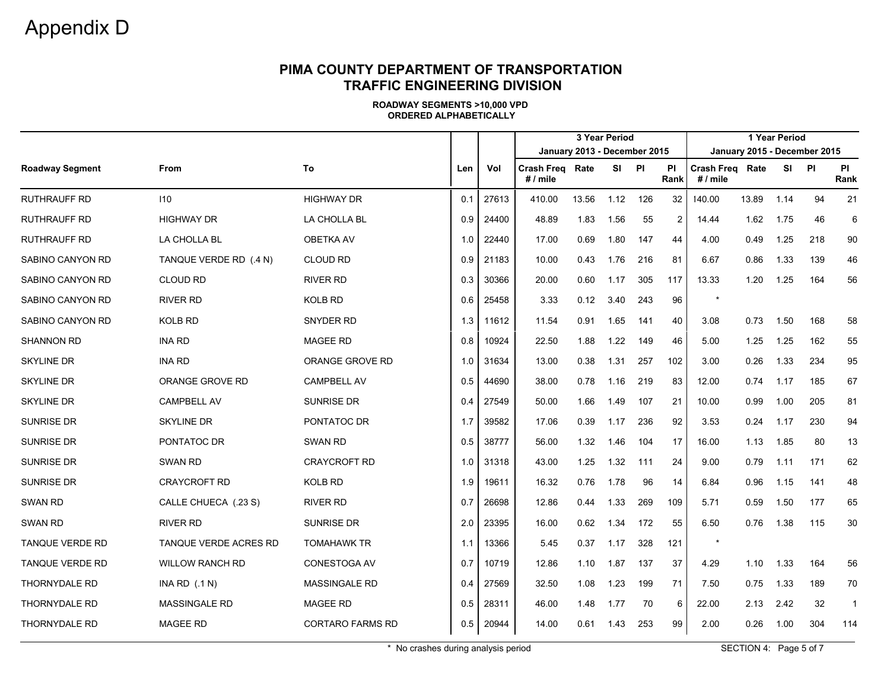#### **PIMA COUNTY DEPARTMENT OF TRANSPORTATION TRAFFIC ENGINEERING DIVISION**

|                        |                        |                         |     |       |                                    |                              | 3 Year Period |     |            |                               | 1 Year Period |       |     |                |
|------------------------|------------------------|-------------------------|-----|-------|------------------------------------|------------------------------|---------------|-----|------------|-------------------------------|---------------|-------|-----|----------------|
|                        |                        |                         |     |       |                                    | January 2013 - December 2015 |               |     |            | January 2015 - December 2015  |               |       |     |                |
| <b>Roadway Segment</b> | From                   | To                      | Len | Vol   | <b>Crash Freg Rate</b><br># / mile |                              | SI PI         |     | PI<br>Rank | Crash Freg Rate<br>$# /$ mile |               | SI PI |     | PI<br>Rank     |
| <b>RUTHRAUFF RD</b>    | 110                    | <b>HIGHWAY DR</b>       | 0.1 | 27613 | 410.00                             | 13.56                        | 1.12          | 126 | 32         | 140.00                        | 13.89         | 1.14  | 94  | 21             |
| <b>RUTHRAUFF RD</b>    | <b>HIGHWAY DR</b>      | LA CHOLLA BL            | 0.9 | 24400 | 48.89                              | 1.83                         | 1.56          | 55  | 2          | 14.44                         | 1.62          | 1.75  | 46  | 6              |
| <b>RUTHRAUFF RD</b>    | LA CHOLLA BL           | <b>OBETKA AV</b>        | 1.0 | 22440 | 17.00                              | 0.69                         | 1.80          | 147 | 44         | 4.00                          | 0.49          | 1.25  | 218 | 90             |
| SABINO CANYON RD       | TANQUE VERDE RD (.4 N) | <b>CLOUD RD</b>         | 0.9 | 21183 | 10.00                              | 0.43                         | 1.76          | 216 | 81         | 6.67                          | 0.86          | 1.33  | 139 | 46             |
| SABINO CANYON RD       | <b>CLOUD RD</b>        | <b>RIVER RD</b>         | 0.3 | 30366 | 20.00                              | 0.60                         | 1.17          | 305 | 117        | 13.33                         | 1.20          | 1.25  | 164 | 56             |
| SABINO CANYON RD       | <b>RIVER RD</b>        | KOLB RD                 | 0.6 | 25458 | 3.33                               | 0.12                         | 3.40          | 243 | 96         | $\star$                       |               |       |     |                |
| SABINO CANYON RD       | <b>KOLB RD</b>         | <b>SNYDER RD</b>        | 1.3 | 11612 | 11.54                              | 0.91                         | 1.65          | 141 | 40         | 3.08                          | 0.73          | 1.50  | 168 | 58             |
| <b>SHANNON RD</b>      | <b>INA RD</b>          | <b>MAGEE RD</b>         | 0.8 | 10924 | 22.50                              | 1.88                         | 1.22          | 149 | 46         | 5.00                          | 1.25          | 1.25  | 162 | 55             |
| <b>SKYLINE DR</b>      | <b>INA RD</b>          | ORANGE GROVE RD         | 1.0 | 31634 | 13.00                              | 0.38                         | 1.31          | 257 | 102        | 3.00                          | 0.26          | 1.33  | 234 | 95             |
| <b>SKYLINE DR</b>      | ORANGE GROVE RD        | <b>CAMPBELL AV</b>      | 0.5 | 44690 | 38.00                              | 0.78                         | 1.16          | 219 | 83         | 12.00                         | 0.74          | 1.17  | 185 | 67             |
| <b>SKYLINE DR</b>      | <b>CAMPBELL AV</b>     | <b>SUNRISE DR</b>       | 0.4 | 27549 | 50.00                              | 1.66                         | 1.49          | 107 | 21         | 10.00                         | 0.99          | 1.00  | 205 | 81             |
| <b>SUNRISE DR</b>      | <b>SKYLINE DR</b>      | PONTATOC DR             | 1.7 | 39582 | 17.06                              | 0.39                         | 1.17          | 236 | 92         | 3.53                          | 0.24          | 1.17  | 230 | 94             |
| <b>SUNRISE DR</b>      | PONTATOC DR            | SWAN RD                 | 0.5 | 38777 | 56.00                              | 1.32                         | 1.46          | 104 | 17         | 16.00                         | 1.13          | 1.85  | 80  | 13             |
| <b>SUNRISE DR</b>      | <b>SWAN RD</b>         | <b>CRAYCROFT RD</b>     | 1.0 | 31318 | 43.00                              | 1.25                         | 1.32          | 111 | 24         | 9.00                          | 0.79          | 1.11  | 171 | 62             |
| <b>SUNRISE DR</b>      | CRAYCROFT RD           | <b>KOLB RD</b>          | 1.9 | 19611 | 16.32                              | 0.76                         | 1.78          | 96  | 14         | 6.84                          | 0.96          | 1.15  | 141 | 48             |
| <b>SWAN RD</b>         | CALLE CHUECA (.23 S)   | <b>RIVER RD</b>         | 0.7 | 26698 | 12.86                              | 0.44                         | 1.33          | 269 | 109        | 5.71                          | 0.59          | 1.50  | 177 | 65             |
| <b>SWAN RD</b>         | <b>RIVER RD</b>        | <b>SUNRISE DR</b>       | 2.0 | 23395 | 16.00                              | 0.62                         | 1.34          | 172 | 55         | 6.50                          | 0.76          | 1.38  | 115 | 30             |
| TANQUE VERDE RD        | TANQUE VERDE ACRES RD  | <b>TOMAHAWK TR</b>      | 1.1 | 13366 | 5.45                               | 0.37                         | 1.17          | 328 | 121        | $\star$                       |               |       |     |                |
| TANQUE VERDE RD        | <b>WILLOW RANCH RD</b> | CONESTOGA AV            | 0.7 | 10719 | 12.86                              | 1.10                         | 1.87          | 137 | 37         | 4.29                          | 1.10          | 1.33  | 164 | 56             |
| <b>THORNYDALE RD</b>   | INA RD $(.1 N)$        | <b>MASSINGALE RD</b>    | 0.4 | 27569 | 32.50                              | 1.08                         | 1.23          | 199 | 71         | 7.50                          | 0.75          | 1.33  | 189 | 70             |
| <b>THORNYDALE RD</b>   | <b>MASSINGALE RD</b>   | <b>MAGEE RD</b>         | 0.5 | 28311 | 46.00                              | 1.48                         | 1.77          | 70  | 6          | 22.00                         | 2.13          | 2.42  | 32  | $\overline{1}$ |
| <b>THORNYDALE RD</b>   | <b>MAGEE RD</b>        | <b>CORTARO FARMS RD</b> | 0.5 | 20944 | 14.00                              | 0.61                         | 1.43          | 253 | 99         | 2.00                          | 0.26          | 1.00  | 304 | 114            |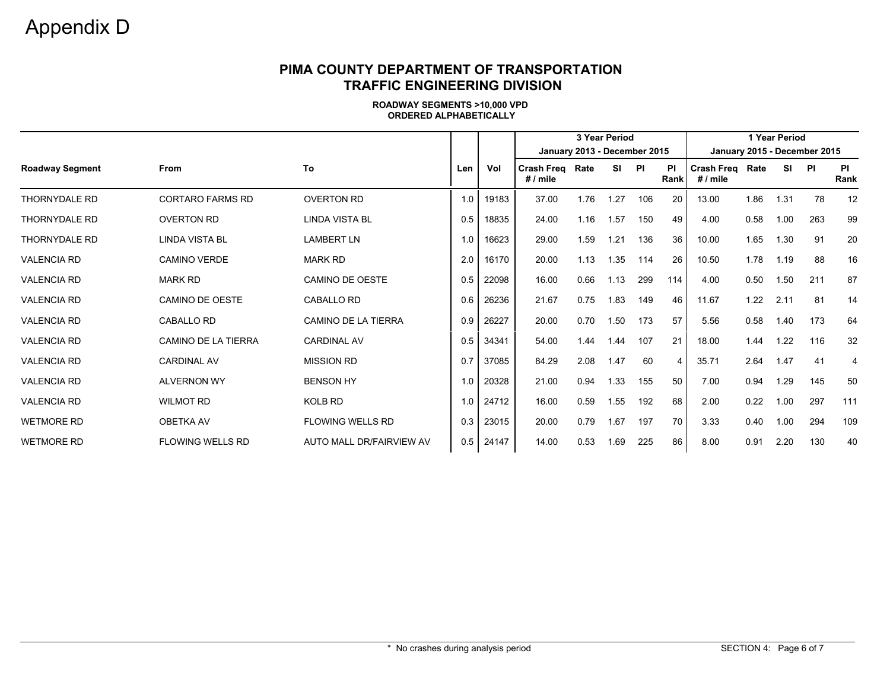#### **PIMA COUNTY DEPARTMENT OF TRANSPORTATION TRAFFIC ENGINEERING DIVISION**

|                        |                            |                            |     |       |                                    |      | 1 Year Period |     |                |                               |                              |      |           |                |  |  |
|------------------------|----------------------------|----------------------------|-----|-------|------------------------------------|------|---------------|-----|----------------|-------------------------------|------------------------------|------|-----------|----------------|--|--|
|                        |                            |                            |     |       | January 2013 - December 2015       |      |               |     |                |                               | January 2015 - December 2015 |      |           |                |  |  |
| <b>Roadway Segment</b> | <b>From</b>                | To                         | Len | Vol   | <b>Crash Freg Rate</b><br># / mile |      | SI PI         |     | ΡI<br>Rank     | Crash Freq Rate<br>$# /$ mile |                              | SI   | <b>PI</b> | PI<br>Rank     |  |  |
| <b>THORNYDALE RD</b>   | <b>CORTARO FARMS RD</b>    | <b>OVERTON RD</b>          | 1.0 | 19183 | 37.00                              | 1.76 | 1.27          | 106 | 20             | 13.00                         | 1.86                         | 1.31 | 78        | 12             |  |  |
| <b>THORNYDALE RD</b>   | <b>OVERTON RD</b>          | LINDA VISTA BL             | 0.5 | 18835 | 24.00                              | 1.16 | 1.57          | 150 | 49             | 4.00                          | 0.58                         | 1.00 | 263       | 99             |  |  |
| <b>THORNYDALE RD</b>   | <b>LINDA VISTA BL</b>      | <b>LAMBERT LN</b>          | 1.0 | 16623 | 29.00                              | 1.59 | 1.21          | 136 | 36             | 10.00                         | 1.65                         | 1.30 | 91        | 20             |  |  |
| <b>VALENCIA RD</b>     | <b>CAMINO VERDE</b>        | <b>MARK RD</b>             | 2.0 | 16170 | 20.00                              | 1.13 | 1.35          | 114 | 26             | 10.50                         | 1.78                         | 1.19 | 88        | 16             |  |  |
| <b>VALENCIA RD</b>     | <b>MARK RD</b>             | <b>CAMINO DE OESTE</b>     | 0.5 | 22098 | 16.00                              | 0.66 | 1.13          | 299 | 114            | 4.00                          | 0.50                         | 1.50 | 211       | 87             |  |  |
| <b>VALENCIA RD</b>     | CAMINO DE OESTE            | CABALLO RD                 | 0.6 | 26236 | 21.67                              | 0.75 | 1.83          | 149 | 46             | 11.67                         | 1.22                         | 2.11 | 81        | 14             |  |  |
| <b>VALENCIA RD</b>     | <b>CABALLO RD</b>          | <b>CAMINO DE LA TIERRA</b> | 0.9 | 26227 | 20.00                              | 0.70 | 1.50          | 173 | 57             | 5.56                          | 0.58                         | 1.40 | 173       | 64             |  |  |
| <b>VALENCIA RD</b>     | <b>CAMINO DE LA TIERRA</b> | <b>CARDINAL AV</b>         | 0.5 | 34341 | 54.00                              | 1.44 | 1.44          | 107 | 21             | 18.00                         | 1.44                         | 1.22 | 116       | 32             |  |  |
| <b>VALENCIA RD</b>     | <b>CARDINAL AV</b>         | <b>MISSION RD</b>          | 0.7 | 37085 | 84.29                              | 2.08 | 1.47          | 60  | $\overline{4}$ | 35.71                         | 2.64                         | 1.47 | 41        | $\overline{4}$ |  |  |
| <b>VALENCIA RD</b>     | <b>ALVERNON WY</b>         | <b>BENSON HY</b>           | 1.0 | 20328 | 21.00                              | 0.94 | 1.33          | 155 | 50             | 7.00                          | 0.94                         | 1.29 | 145       | 50             |  |  |
| <b>VALENCIA RD</b>     | <b>WILMOT RD</b>           | KOLB RD                    | 1.0 | 24712 | 16.00                              | 0.59 | 1.55          | 192 | 68             | 2.00                          | 0.22                         | 1.00 | 297       | 111            |  |  |
| <b>WETMORE RD</b>      | <b>OBETKA AV</b>           | <b>FLOWING WELLS RD</b>    | 0.3 | 23015 | 20.00                              | 0.79 | 1.67          | 197 | 70             | 3.33                          | 0.40                         | 1.00 | 294       | 109            |  |  |
| <b>WETMORE RD</b>      | FLOWING WELLS RD           | AUTO MALL DR/FAIRVIEW AV   | 0.5 | 24147 | 14.00                              | 0.53 | 1.69          | 225 | 86             | 8.00                          | 0.91                         | 2.20 | 130       | 40             |  |  |